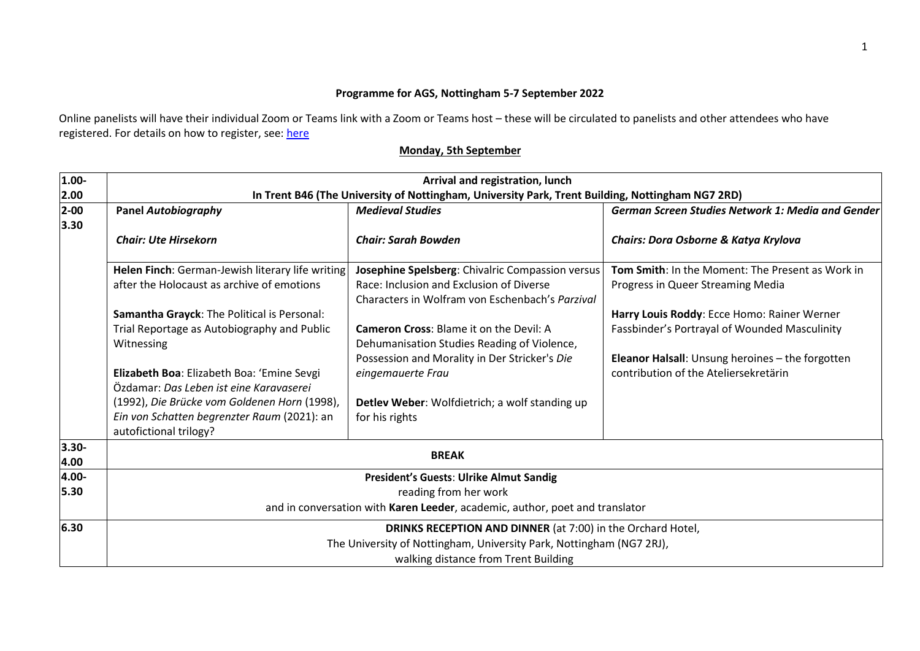## **Programme for AGS, Nottingham 5-7 September 2022**

Online panelists will have their individual Zoom or Teams link with a Zoom or Teams host – these will be circulated to panelists and other attendees who have registered. For details on how to register, see: [here](https://store.nottingham.ac.uk/conferences-and-events/conferences/schools-and-departments/cultures-languages-area-studies/ags-at-90-association-for-german-studies-conference-at-the-university-of-nottingham-57-september)

| 1.00-    | Arrival and registration, lunch                                                                  |                                                                      |                                                   |  |  |
|----------|--------------------------------------------------------------------------------------------------|----------------------------------------------------------------------|---------------------------------------------------|--|--|
| 2.00     | In Trent B46 (The University of Nottingham, University Park, Trent Building, Nottingham NG7 2RD) |                                                                      |                                                   |  |  |
| $2 - 00$ | <b>Panel Autobiography</b>                                                                       | <b>Medieval Studies</b>                                              | German Screen Studies Network 1: Media and Gender |  |  |
| 3.30     |                                                                                                  |                                                                      |                                                   |  |  |
|          | <b>Chair: Ute Hirsekorn</b>                                                                      | <b>Chair: Sarah Bowden</b>                                           | Chairs: Dora Osborne & Katya Krylova              |  |  |
|          | Helen Finch: German-Jewish literary life writing                                                 | Josephine Spelsberg: Chivalric Compassion versus                     | Tom Smith: In the Moment: The Present as Work in  |  |  |
|          | after the Holocaust as archive of emotions                                                       | Race: Inclusion and Exclusion of Diverse                             | Progress in Queer Streaming Media                 |  |  |
|          |                                                                                                  | Characters in Wolfram von Eschenbach's Parzival                      |                                                   |  |  |
|          | Samantha Grayck: The Political is Personal:                                                      |                                                                      | Harry Louis Roddy: Ecce Homo: Rainer Werner       |  |  |
|          | Trial Reportage as Autobiography and Public                                                      | <b>Cameron Cross: Blame it on the Devil: A</b>                       | Fassbinder's Portrayal of Wounded Masculinity     |  |  |
|          | Witnessing                                                                                       | Dehumanisation Studies Reading of Violence,                          |                                                   |  |  |
|          |                                                                                                  | Possession and Morality in Der Stricker's Die                        | Eleanor Halsall: Unsung heroines - the forgotten  |  |  |
|          | Elizabeth Boa: Elizabeth Boa: 'Emine Sevgi                                                       | eingemauerte Frau                                                    | contribution of the Ateliersekretärin             |  |  |
|          | Özdamar: Das Leben ist eine Karavaserei                                                          |                                                                      |                                                   |  |  |
|          | (1992), Die Brücke vom Goldenen Horn (1998),                                                     | Detlev Weber: Wolfdietrich; a wolf standing up                       |                                                   |  |  |
|          | Ein von Schatten begrenzter Raum (2021): an                                                      | for his rights                                                       |                                                   |  |  |
|          | autofictional trilogy?                                                                           |                                                                      |                                                   |  |  |
| $3.30 -$ |                                                                                                  |                                                                      |                                                   |  |  |
| 4.00     | <b>BREAK</b>                                                                                     |                                                                      |                                                   |  |  |
| 4.00-    | President's Guests: Ulrike Almut Sandig                                                          |                                                                      |                                                   |  |  |
| 5.30     | reading from her work                                                                            |                                                                      |                                                   |  |  |
|          | and in conversation with Karen Leeder, academic, author, poet and translator                     |                                                                      |                                                   |  |  |
| 6.30     | DRINKS RECEPTION AND DINNER (at 7:00) in the Orchard Hotel,                                      |                                                                      |                                                   |  |  |
|          |                                                                                                  | The University of Nottingham, University Park, Nottingham (NG7 2RJ), |                                                   |  |  |
|          | walking distance from Trent Building                                                             |                                                                      |                                                   |  |  |

## **Monday, 5th September**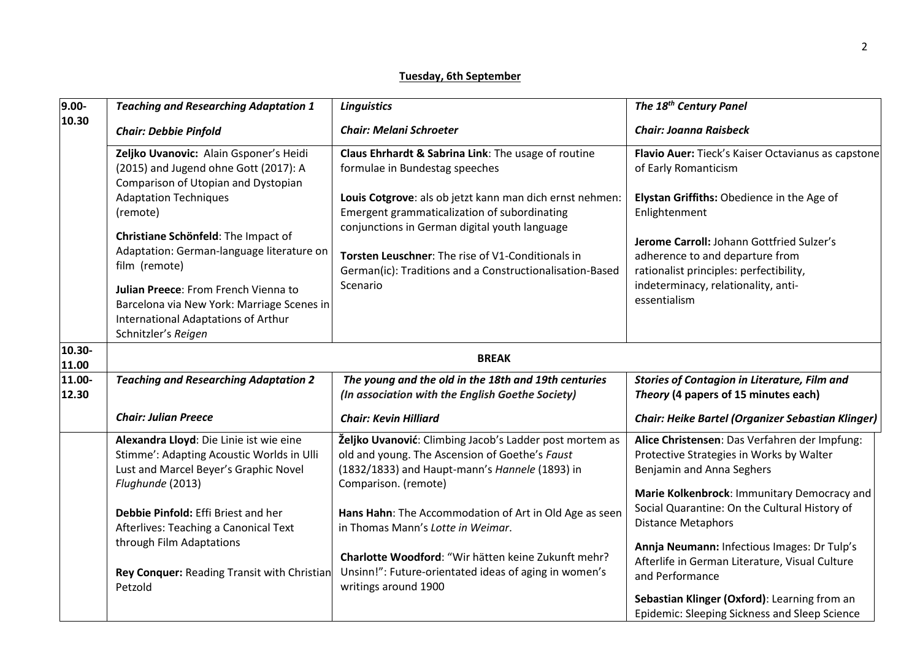## **Tuesday, 6th September**

| $9.00 -$        | <b>Teaching and Researching Adaptation 1</b>                                                                                                                                                                                                                                                                                                                                                         | <b>Linguistics</b>                                                                                                                                                                                                                                                                                                                                                                                                         | The 18 <sup>th</sup> Century Panel                                                                                                                                                                                                                                                                                                                                      |  |  |  |
|-----------------|------------------------------------------------------------------------------------------------------------------------------------------------------------------------------------------------------------------------------------------------------------------------------------------------------------------------------------------------------------------------------------------------------|----------------------------------------------------------------------------------------------------------------------------------------------------------------------------------------------------------------------------------------------------------------------------------------------------------------------------------------------------------------------------------------------------------------------------|-------------------------------------------------------------------------------------------------------------------------------------------------------------------------------------------------------------------------------------------------------------------------------------------------------------------------------------------------------------------------|--|--|--|
| 10.30           | <b>Chair: Debbie Pinfold</b>                                                                                                                                                                                                                                                                                                                                                                         | <b>Chair: Melani Schroeter</b>                                                                                                                                                                                                                                                                                                                                                                                             | <b>Chair: Joanna Raisbeck</b>                                                                                                                                                                                                                                                                                                                                           |  |  |  |
|                 | Zeljko Uvanovic: Alain Gsponer's Heidi<br>(2015) and Jugend ohne Gott (2017): A<br>Comparison of Utopian and Dystopian<br><b>Adaptation Techniques</b><br>(remote)<br>Christiane Schönfeld: The Impact of<br>Adaptation: German-language literature on<br>film (remote)<br>Julian Preece: From French Vienna to<br>Barcelona via New York: Marriage Scenes in<br>International Adaptations of Arthur | Claus Ehrhardt & Sabrina Link: The usage of routine<br>formulae in Bundestag speeches<br>Louis Cotgrove: als ob jetzt kann man dich ernst nehmen:<br>Emergent grammaticalization of subordinating<br>conjunctions in German digital youth language<br>Torsten Leuschner: The rise of V1-Conditionals in<br>German(ic): Traditions and a Constructionalisation-Based<br>Scenario                                            | Flavio Auer: Tieck's Kaiser Octavianus as capstone<br>of Early Romanticism<br>Elystan Griffiths: Obedience in the Age of<br>Enlightenment<br>Jerome Carroll: Johann Gottfried Sulzer's<br>adherence to and departure from<br>rationalist principles: perfectibility,<br>indeterminacy, relationality, anti-<br>essentialism                                             |  |  |  |
| 10.30-          | Schnitzler's Reigen                                                                                                                                                                                                                                                                                                                                                                                  |                                                                                                                                                                                                                                                                                                                                                                                                                            |                                                                                                                                                                                                                                                                                                                                                                         |  |  |  |
| 11.00           | <b>BREAK</b>                                                                                                                                                                                                                                                                                                                                                                                         |                                                                                                                                                                                                                                                                                                                                                                                                                            |                                                                                                                                                                                                                                                                                                                                                                         |  |  |  |
| 11.00-<br>12.30 | <b>Teaching and Researching Adaptation 2</b>                                                                                                                                                                                                                                                                                                                                                         | The young and the old in the 18th and 19th centuries<br>(In association with the English Goethe Society)                                                                                                                                                                                                                                                                                                                   | <b>Stories of Contagion in Literature, Film and</b><br>Theory (4 papers of 15 minutes each)                                                                                                                                                                                                                                                                             |  |  |  |
|                 | <b>Chair: Julian Preece</b>                                                                                                                                                                                                                                                                                                                                                                          | <b>Chair: Kevin Hilliard</b>                                                                                                                                                                                                                                                                                                                                                                                               | <b>Chair: Heike Bartel (Organizer Sebastian Klinger)</b>                                                                                                                                                                                                                                                                                                                |  |  |  |
|                 | Alexandra Lloyd: Die Linie ist wie eine<br>Stimme': Adapting Acoustic Worlds in Ulli<br>Lust and Marcel Beyer's Graphic Novel<br>Flughunde (2013)<br>Debbie Pinfold: Effi Briest and her<br>Afterlives: Teaching a Canonical Text<br>through Film Adaptations<br>Rey Conquer: Reading Transit with Christian<br>Petzold                                                                              | Željko Uvanović: Climbing Jacob's Ladder post mortem as<br>old and young. The Ascension of Goethe's Faust<br>(1832/1833) and Haupt-mann's Hannele (1893) in<br>Comparison. (remote)<br>Hans Hahn: The Accommodation of Art in Old Age as seen<br>in Thomas Mann's Lotte in Weimar.<br>Charlotte Woodford: "Wir hätten keine Zukunft mehr?<br>Unsinn!": Future-orientated ideas of aging in women's<br>writings around 1900 | Alice Christensen: Das Verfahren der Impfung:<br>Protective Strategies in Works by Walter<br>Benjamin and Anna Seghers<br>Marie Kolkenbrock: Immunitary Democracy and<br>Social Quarantine: On the Cultural History of<br><b>Distance Metaphors</b><br>Annja Neumann: Infectious Images: Dr Tulp's<br>Afterlife in German Literature, Visual Culture<br>and Performance |  |  |  |
|                 |                                                                                                                                                                                                                                                                                                                                                                                                      |                                                                                                                                                                                                                                                                                                                                                                                                                            | Sebastian Klinger (Oxford): Learning from an<br>Epidemic: Sleeping Sickness and Sleep Science                                                                                                                                                                                                                                                                           |  |  |  |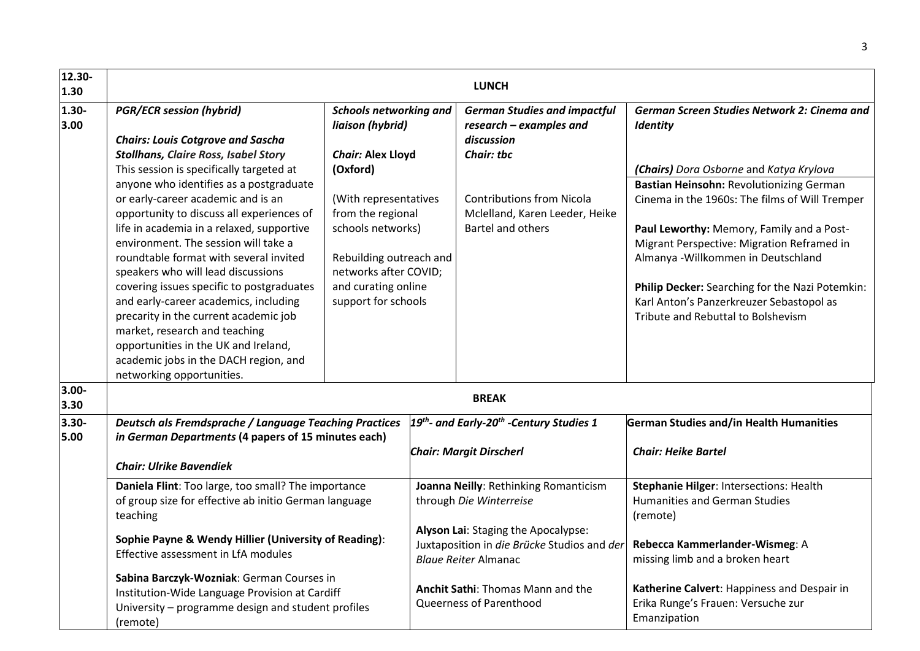| 12.30-<br>1.30   |                                                                                                                                                                                                                                                                                                                                                                                                                                                                                                                                                                                                                                                                                                                      |                                                                                                                                                                                                           |  | <b>LUNCH</b>                                                                                                                                           |                                                                                                                                                                                                                                                                                                                                                                                                              |
|------------------|----------------------------------------------------------------------------------------------------------------------------------------------------------------------------------------------------------------------------------------------------------------------------------------------------------------------------------------------------------------------------------------------------------------------------------------------------------------------------------------------------------------------------------------------------------------------------------------------------------------------------------------------------------------------------------------------------------------------|-----------------------------------------------------------------------------------------------------------------------------------------------------------------------------------------------------------|--|--------------------------------------------------------------------------------------------------------------------------------------------------------|--------------------------------------------------------------------------------------------------------------------------------------------------------------------------------------------------------------------------------------------------------------------------------------------------------------------------------------------------------------------------------------------------------------|
| $1.30 -$<br>3.00 | <b>PGR/ECR session (hybrid)</b>                                                                                                                                                                                                                                                                                                                                                                                                                                                                                                                                                                                                                                                                                      | <b>Schools networking and</b><br>liaison (hybrid)                                                                                                                                                         |  | <b>German Studies and impactful</b><br>research - examples and<br>discussion                                                                           | German Screen Studies Network 2: Cinema and<br><b>Identity</b>                                                                                                                                                                                                                                                                                                                                               |
|                  | <b>Chairs: Louis Cotgrove and Sascha</b><br><b>Stollhans, Claire Ross, Isabel Story</b><br>This session is specifically targeted at<br>anyone who identifies as a postgraduate<br>or early-career academic and is an<br>opportunity to discuss all experiences of<br>life in academia in a relaxed, supportive<br>environment. The session will take a<br>roundtable format with several invited<br>speakers who will lead discussions<br>covering issues specific to postgraduates<br>and early-career academics, including<br>precarity in the current academic job<br>market, research and teaching<br>opportunities in the UK and Ireland,<br>academic jobs in the DACH region, and<br>networking opportunities. | <b>Chair: Alex Lloyd</b><br>(Oxford)<br>(With representatives<br>from the regional<br>schools networks)<br>Rebuilding outreach and<br>networks after COVID;<br>and curating online<br>support for schools |  | <b>Chair: tbc</b><br><b>Contributions from Nicola</b><br>Mclelland, Karen Leeder, Heike<br>Bartel and others                                           | (Chairs) Dora Osborne and Katya Krylova<br>Bastian Heinsohn: Revolutionizing German<br>Cinema in the 1960s: The films of Will Tremper<br>Paul Leworthy: Memory, Family and a Post-<br>Migrant Perspective: Migration Reframed in<br>Almanya - Willkommen in Deutschland<br>Philip Decker: Searching for the Nazi Potemkin:<br>Karl Anton's Panzerkreuzer Sebastopol as<br>Tribute and Rebuttal to Bolshevism |
| $3.00 -$<br>3.30 |                                                                                                                                                                                                                                                                                                                                                                                                                                                                                                                                                                                                                                                                                                                      |                                                                                                                                                                                                           |  | <b>BREAK</b>                                                                                                                                           |                                                                                                                                                                                                                                                                                                                                                                                                              |
| $3.30 -$<br>5.00 | <b>Deutsch als Fremdsprache / Language Teaching Practices</b><br>in German Departments (4 papers of 15 minutes each)<br><b>Chair: Ulrike Bavendiek</b>                                                                                                                                                                                                                                                                                                                                                                                                                                                                                                                                                               |                                                                                                                                                                                                           |  | $19th$ - and Early-20 <sup>th</sup> -Century Studies 1<br><b>Chair: Margit Dirscherl</b>                                                               | German Studies and/in Health Humanities<br><b>Chair: Heike Bartel</b>                                                                                                                                                                                                                                                                                                                                        |
|                  | Daniela Flint: Too large, too small? The importance<br>of group size for effective ab initio German language<br>teaching<br>Sophie Payne & Wendy Hillier (University of Reading):                                                                                                                                                                                                                                                                                                                                                                                                                                                                                                                                    |                                                                                                                                                                                                           |  | Joanna Neilly: Rethinking Romanticism<br>through Die Winterreise<br>Alyson Lai: Staging the Apocalypse:<br>Juxtaposition in die Brücke Studios and der | Stephanie Hilger: Intersections: Health<br><b>Humanities and German Studies</b><br>(remote)<br>Rebecca Kammerlander-Wismeg: A                                                                                                                                                                                                                                                                                |
|                  | Effective assessment in LfA modules<br>Sabina Barczyk-Wozniak: German Courses in<br>Institution-Wide Language Provision at Cardiff<br>University - programme design and student profiles<br>(remote)                                                                                                                                                                                                                                                                                                                                                                                                                                                                                                                 |                                                                                                                                                                                                           |  | <b>Blaue Reiter Almanac</b><br><b>Anchit Sathi: Thomas Mann and the</b><br>Queerness of Parenthood                                                     | missing limb and a broken heart<br>Katherine Calvert: Happiness and Despair in<br>Erika Runge's Frauen: Versuche zur<br>Emanzipation                                                                                                                                                                                                                                                                         |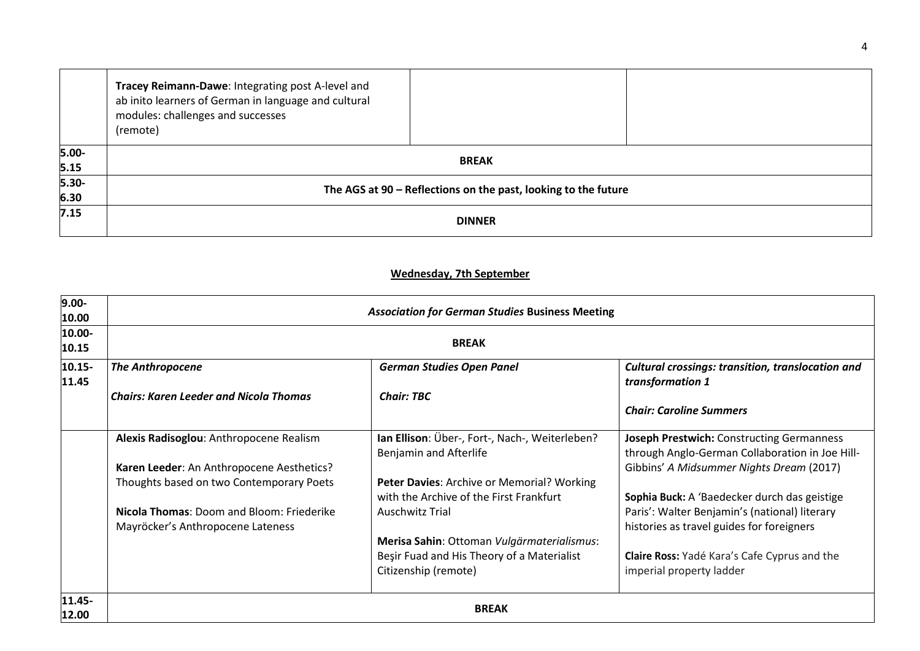|          | Tracey Reimann-Dawe: Integrating post A-level and<br>ab inito learners of German in language and cultural<br>modules: challenges and successes<br>(remote) |  |  |
|----------|------------------------------------------------------------------------------------------------------------------------------------------------------------|--|--|
| $5.00 -$ | <b>BREAK</b>                                                                                                                                               |  |  |
| 5.15     |                                                                                                                                                            |  |  |
| $5.30 -$ |                                                                                                                                                            |  |  |
| 6.30     | The AGS at 90 - Reflections on the past, looking to the future                                                                                             |  |  |
| 7.15     | <b>DINNER</b>                                                                                                                                              |  |  |

## **Wednesday, 7th September**

| $9.00 -$<br>10.00  | <b>Association for German Studies Business Meeting</b>                         |                                                                                       |                                                                                                     |  |  |
|--------------------|--------------------------------------------------------------------------------|---------------------------------------------------------------------------------------|-----------------------------------------------------------------------------------------------------|--|--|
| 10.00-<br>10.15    | <b>BREAK</b>                                                                   |                                                                                       |                                                                                                     |  |  |
| $10.15 -$<br>11.45 | <b>The Anthropocene</b>                                                        | <b>German Studies Open Panel</b>                                                      | <b>Cultural crossings: transition, translocation and</b><br>transformation 1                        |  |  |
|                    | <b>Chairs: Karen Leeder and Nicola Thomas</b>                                  | <b>Chair: TBC</b>                                                                     | <b>Chair: Caroline Summers</b>                                                                      |  |  |
|                    | Alexis Radisoglou: Anthropocene Realism                                        | Ian Ellison: Über-, Fort-, Nach-, Weiterleben?<br>Benjamin and Afterlife              | <b>Joseph Prestwich: Constructing Germanness</b><br>through Anglo-German Collaboration in Joe Hill- |  |  |
|                    | Karen Leeder: An Anthropocene Aesthetics?                                      |                                                                                       | Gibbins' A Midsummer Nights Dream (2017)                                                            |  |  |
|                    | Thoughts based on two Contemporary Poets                                       | Peter Davies: Archive or Memorial? Working<br>with the Archive of the First Frankfurt | Sophia Buck: A 'Baedecker durch das geistige                                                        |  |  |
|                    | Nicola Thomas: Doom and Bloom: Friederike<br>Mayröcker's Anthropocene Lateness | <b>Auschwitz Trial</b>                                                                | Paris': Walter Benjamin's (national) literary<br>histories as travel guides for foreigners          |  |  |
|                    |                                                                                | Merisa Sahin: Ottoman Vulgärmaterialismus:                                            |                                                                                                     |  |  |
|                    |                                                                                | Beşir Fuad and His Theory of a Materialist<br>Citizenship (remote)                    | Claire Ross: Yadé Kara's Cafe Cyprus and the<br>imperial property ladder                            |  |  |
| 11.45-<br>12.00    | <b>BREAK</b>                                                                   |                                                                                       |                                                                                                     |  |  |